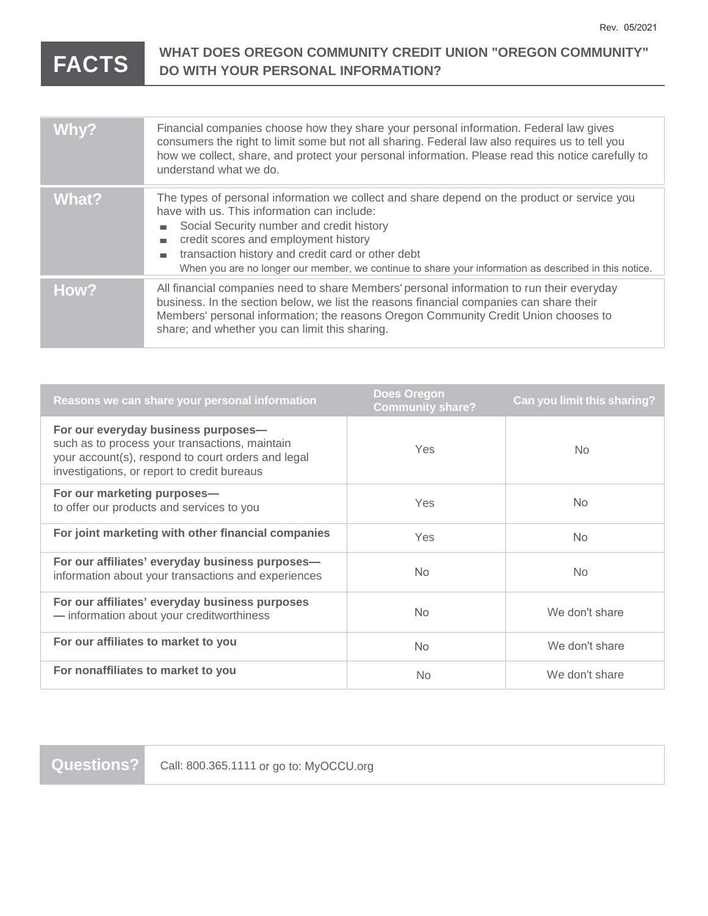## **FACTS** WHAT DOES OREGON COMMUNITY CREDIT UNION "OREGON COMMUNITY" **DO WITH YOUR PERSONAL INFORMATION?**

| Why?  | Financial companies choose how they share your personal information. Federal law gives<br>consumers the right to limit some but not all sharing. Federal law also requires us to tell you<br>how we collect, share, and protect your personal information. Please read this notice carefully to<br>understand what we do.                                                                                                |
|-------|--------------------------------------------------------------------------------------------------------------------------------------------------------------------------------------------------------------------------------------------------------------------------------------------------------------------------------------------------------------------------------------------------------------------------|
| What? | The types of personal information we collect and share depend on the product or service you<br>have with us. This information can include:<br>Social Security number and credit history<br>$\mathbf{r}$<br>credit scores and employment history<br>ш<br>transaction history and credit card or other debt<br>m.<br>When you are no longer our member, we continue to share your information as described in this notice. |
| How?  | All financial companies need to share Members' personal information to run their everyday<br>business. In the section below, we list the reasons financial companies can share their<br>Members' personal information; the reasons Oregon Community Credit Union chooses to<br>share; and whether you can limit this sharing.                                                                                            |

| Reasons we can share your personal information                                                                                                                                             | <b>Does Oregon</b><br><b>Community share?</b> | <b>Can you limit this sharing?</b> |
|--------------------------------------------------------------------------------------------------------------------------------------------------------------------------------------------|-----------------------------------------------|------------------------------------|
| For our everyday business purposes-<br>such as to process your transactions, maintain<br>your account(s), respond to court orders and legal<br>investigations, or report to credit bureaus | Yes                                           | N <sub>o</sub>                     |
| For our marketing purposes-<br>to offer our products and services to you                                                                                                                   | Yes                                           | N <sub>o</sub>                     |
| For joint marketing with other financial companies                                                                                                                                         | Yes                                           | <b>No</b>                          |
| For our affiliates' everyday business purposes-<br>information about your transactions and experiences                                                                                     | No.                                           | <b>No</b>                          |
| For our affiliates' everyday business purposes<br>- information about your creditworthiness                                                                                                | N <sub>o</sub>                                | We don't share                     |
| For our affiliates to market to you                                                                                                                                                        | N <sub>o</sub>                                | We don't share                     |
| For nonaffiliates to market to you                                                                                                                                                         | No.                                           | We don't share                     |

Questions? | Call: 800.365.1111 or go to: MyOCCU.org